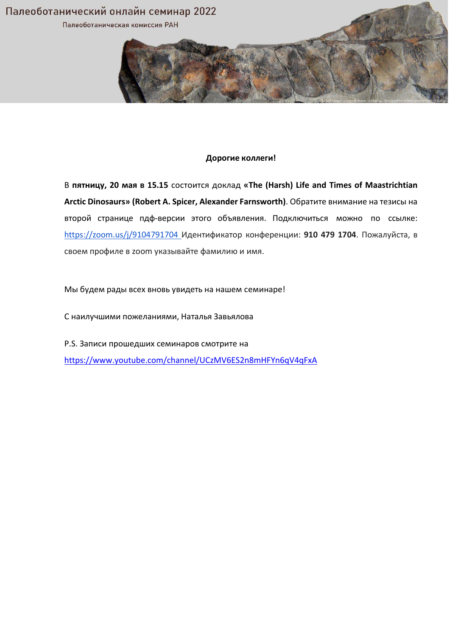

## **Дорогие коллеги!**

В **пятницу, 20 мая в 15.15** состоится доклад **«The (Harsh) Life and Times of Maastrichtian Arctic Dinosaurs» (Robert A. Spicer, Alexander Farnsworth)**. Обратите внимание на тезисы на второй странице пдф‐версии этого объявления. Подключиться можно по ссылке: https://zoom.us/j/9104791704 Идентификатор конференции: **910 479 1704**. Пожалуйста, в своем профиле в zoom указывайте фамилию и имя.

Мы будем рады всех вновь увидеть на нашем семинаре!

С наилучшими пожеланиями, Наталья Завьялова

P.S. Записи прошедших семинаров смотрите на https://www.youtube.com/channel/UCzMV6ES2n8mHFYn6qV4qFxA